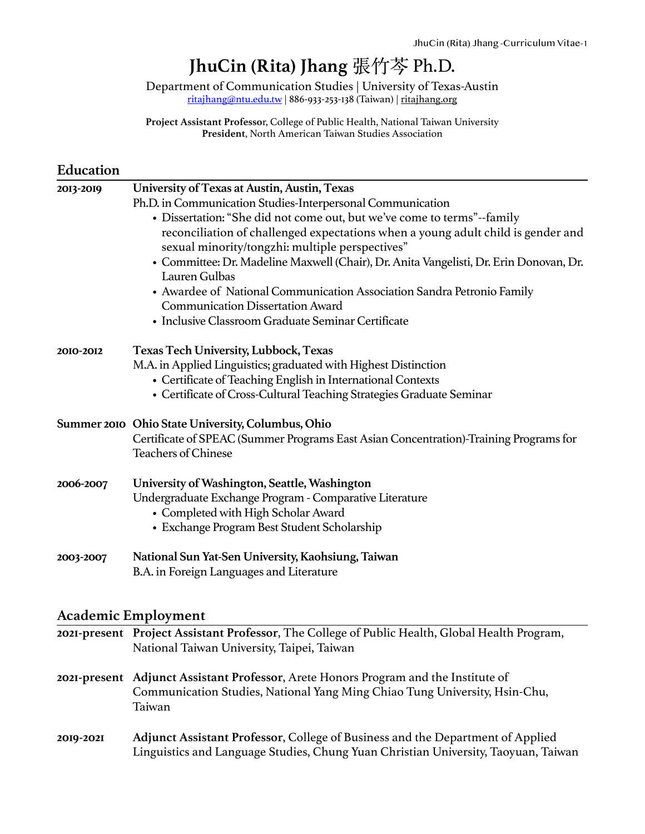# **JhuCin (Rita) Jhang** 張⽵芩 Ph.D.

Department of Communication Studies | University of Texas-Austin [ritajhang@ntu.edu.tw](mailto:ritajhang@ntu.edu.tw) | 886-933-253-138 (Taiwan) | [ritajhang.org](http://ritajhang.org)

**Project Assistant Professo**r, College of Public Health, National Taiwan University **President**, North American Taiwan Studies Association

### **Education**

| 2013-2019 | University of Texas at Austin, Austin, Texas                                                                                        |
|-----------|-------------------------------------------------------------------------------------------------------------------------------------|
|           | Ph.D. in Communication Studies-Interpersonal Communication                                                                          |
|           | • Dissertation: "She did not come out, but we've come to terms"--family                                                             |
|           | reconciliation of challenged expectations when a young adult child is gender and<br>sexual minority/tongzhi: multiple perspectives" |
|           | • Committee: Dr. Madeline Maxwell (Chair), Dr. Anita Vangelisti, Dr. Erin Donovan, Dr.<br>Lauren Gulbas                             |
|           | • Awardee of National Communication Association Sandra Petronio Family<br><b>Communication Dissertation Award</b>                   |
|           | • Inclusive Classroom Graduate Seminar Certificate                                                                                  |
| 2010-2012 | <b>Texas Tech University, Lubbock, Texas</b>                                                                                        |
|           | M.A. in Applied Linguistics; graduated with Highest Distinction                                                                     |
|           | • Certificate of Teaching English in International Contexts                                                                         |
|           | • Certificate of Cross-Cultural Teaching Strategies Graduate Seminar                                                                |
|           | Summer 2010 Ohio State University, Columbus, Ohio                                                                                   |
|           | Certificate of SPEAC (Summer Programs East Asian Concentration)-Training Programs for<br><b>Teachers of Chinese</b>                 |
| 2006-2007 | University of Washington, Seattle, Washington                                                                                       |
|           | Undergraduate Exchange Program - Comparative Literature                                                                             |
|           | • Completed with High Scholar Award                                                                                                 |
|           | • Exchange Program Best Student Scholarship                                                                                         |
| 2003-2007 | National Sun Yat-Sen University, Kaohsiung, Taiwan                                                                                  |
|           | B.A. in Foreign Languages and Literature                                                                                            |

### **Academic Employment**

|           | 2021-present Project Assistant Professor, The College of Public Health, Global Health Program,<br>National Taiwan University, Taipei, Taiwan                                |
|-----------|-----------------------------------------------------------------------------------------------------------------------------------------------------------------------------|
|           | 2021-present Adjunct Assistant Professor, Arete Honors Program and the Institute of<br>Communication Studies, National Yang Ming Chiao Tung University, Hsin-Chu,<br>Taiwan |
| 2019-2021 | Adjunct Assistant Professor, College of Business and the Department of Applied<br>Linguistics and Language Studies, Chung Yuan Christian University, Taoyuan, Taiwan        |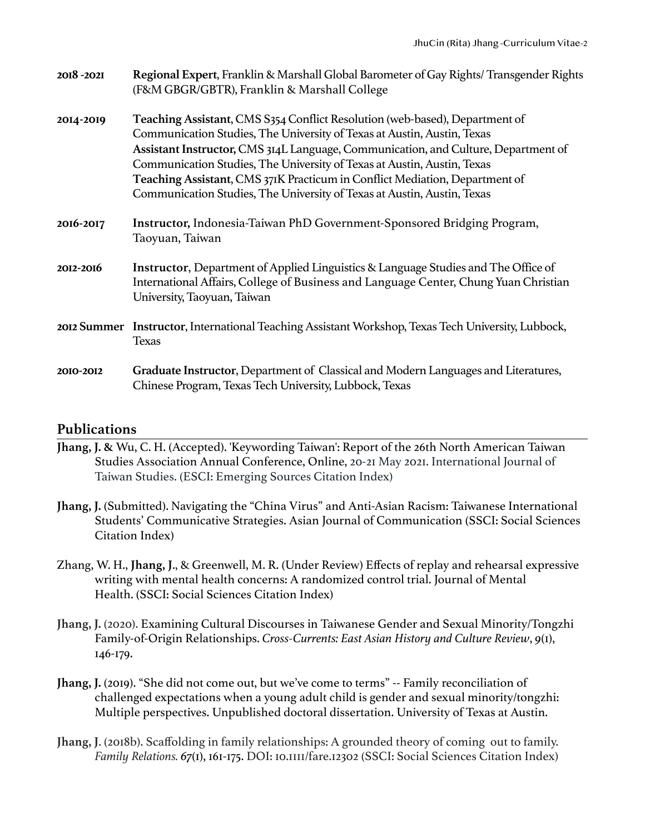| 2018-2021 | Regional Expert, Franklin & Marshall Global Barometer of Gay Rights/ Transgender Rights<br>(F&M GBGR/GBTR), Franklin & Marshall College                                                                                                                                                                                                                                                                                                                                           |
|-----------|-----------------------------------------------------------------------------------------------------------------------------------------------------------------------------------------------------------------------------------------------------------------------------------------------------------------------------------------------------------------------------------------------------------------------------------------------------------------------------------|
| 2014-2019 | Teaching Assistant, CMS S354 Conflict Resolution (web-based), Department of<br>Communication Studies, The University of Texas at Austin, Austin, Texas<br>Assistant Instructor, CMS 314L Language, Communication, and Culture, Department of<br>Communication Studies, The University of Texas at Austin, Austin, Texas<br>Teaching Assistant, CMS 371K Practicum in Conflict Mediation, Department of<br>Communication Studies, The University of Texas at Austin, Austin, Texas |
| 2016-2017 | Instructor, Indonesia-Taiwan PhD Government-Sponsored Bridging Program,<br>Taoyuan, Taiwan                                                                                                                                                                                                                                                                                                                                                                                        |
| 2012-2016 | Instructor, Department of Applied Linguistics & Language Studies and The Office of<br>International Affairs, College of Business and Language Center, Chung Yuan Christian<br>University, Taoyuan, Taiwan                                                                                                                                                                                                                                                                         |
|           | 2012 Summer Instructor, International Teaching Assistant Workshop, Texas Tech University, Lubbock,<br><b>Texas</b>                                                                                                                                                                                                                                                                                                                                                                |
| 2010-2012 | Graduate Instructor, Department of Classical and Modern Languages and Literatures,<br>Chinese Program, Texas Tech University, Lubbock, Texas                                                                                                                                                                                                                                                                                                                                      |

### **Publications**

- **Jhang, J. &** Wu, C. H. (Accepted). 'Keywording Taiwan': Report of the 26th North American Taiwan Studies Association Annual Conference, Online, 20-21 May 2021. International Journal of Taiwan Studies. (ESCI: Emerging Sources Citation Index)
- **Jhang, J.** (Submitted). Navigating the "China Virus" and Anti-Asian Racism: Taiwanese International Students' Communicative Strategies. Asian Journal of Communication (SSCI: Social Sciences Citation Index)
- Zhang, W. H., **Jhang, J**., & Greenwell, M. R. (Under Review) Effects of replay and rehearsal expressive writing with mental health concerns: A randomized control trial. Journal of Mental Health. (SSCI: Social Sciences Citation Index)
- **Jhang, J.** (2020). Examining Cultural Discourses in Taiwanese Gender and Sexual Minority/Tongzhi Family-of-Origin Relationships. *Cross-Currents: East Asian History and Culture Review*, *9*(1), 146-179.
- **Jhang, J.** (2019). "She did not come out, but we've come to terms" -- Family reconciliation of challenged expectations when a young adult child is gender and sexual minority/tongzhi: Multiple perspectives. Unpublished doctoral dissertation. University of Texas at Austin.
- **Jhang, J**. (2018b). Scaffolding in family relationships: A grounded theory of coming out to family. *Family Relations. 67*(1), 161-175. DOI: 10.1111/fare.12302 (SSCI: Social Sciences Citation Index)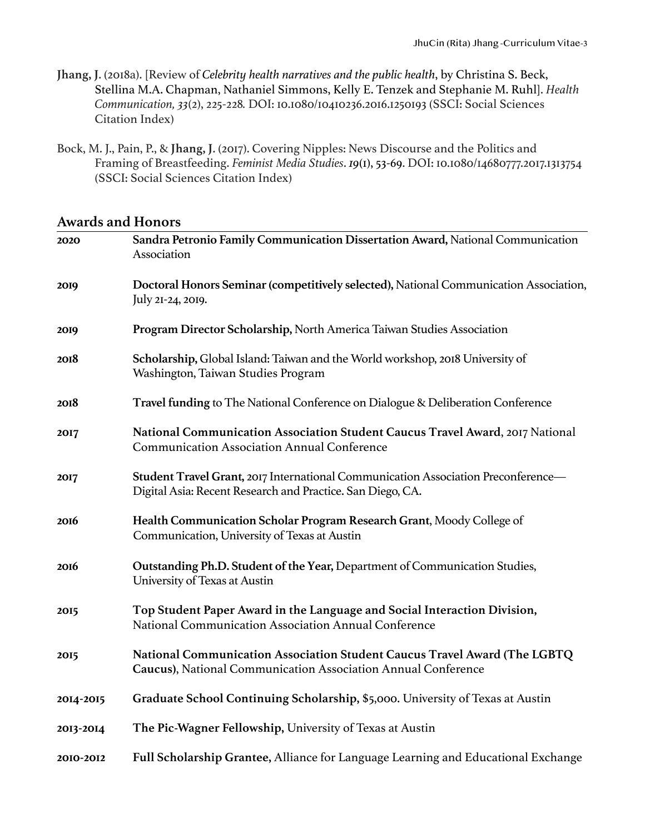- **Jhang, J**. (2018a). [Review of *Celebrity health narratives and the public health*, by Christina S. Beck, Stellina M.A. Chapman, Nathaniel Simmons, Kelly E. Tenzek and Stephanie M. Ruhl]. *Health Communication, 33*(2), 225-228*.* DOI: 10.1080/10410236.2016.1250193 (SSCI: Social Sciences Citation Index)
- Bock, M. J., Pain, P., & **Jhang, J**. (2017). Covering Nipples: News Discourse and the Politics and Framing of Breastfeeding. *Feminist Media Studies*. *19*(1), 53-69. DOI: 10.1080/14680777.2017.1313754 (SSCI: Social Sciences Citation Index)

### **Awards and Honors**

| 2020        | Sandra Petronio Family Communication Dissertation Award, National Communication<br>Association                                                  |
|-------------|-------------------------------------------------------------------------------------------------------------------------------------------------|
| 2019        | Doctoral Honors Seminar (competitively selected), National Communication Association,<br>July 21-24, 2019.                                      |
| 2019        | Program Director Scholarship, North America Taiwan Studies Association                                                                          |
| 2018        | Scholarship, Global Island: Taiwan and the World workshop, 2018 University of<br>Washington, Taiwan Studies Program                             |
| 2018        | Travel funding to The National Conference on Dialogue & Deliberation Conference                                                                 |
| 2017        | National Communication Association Student Caucus Travel Award, 2017 National<br><b>Communication Association Annual Conference</b>             |
| 2017        | Student Travel Grant, 2017 International Communication Association Preconference-<br>Digital Asia: Recent Research and Practice. San Diego, CA. |
| <b>2016</b> | Health Communication Scholar Program Research Grant, Moody College of<br>Communication, University of Texas at Austin                           |
| <b>2016</b> | Outstanding Ph.D. Student of the Year, Department of Communication Studies,<br>University of Texas at Austin                                    |
| 2015        | Top Student Paper Award in the Language and Social Interaction Division,<br>National Communication Association Annual Conference                |
| 2015        | National Communication Association Student Caucus Travel Award (The LGBTQ<br>Caucus), National Communication Association Annual Conference      |
| 2014-2015   | Graduate School Continuing Scholarship, \$5,000. University of Texas at Austin                                                                  |
| 2013-2014   | The Pic-Wagner Fellowship, University of Texas at Austin                                                                                        |
| 2010-2012   | Full Scholarship Grantee, Alliance for Language Learning and Educational Exchange                                                               |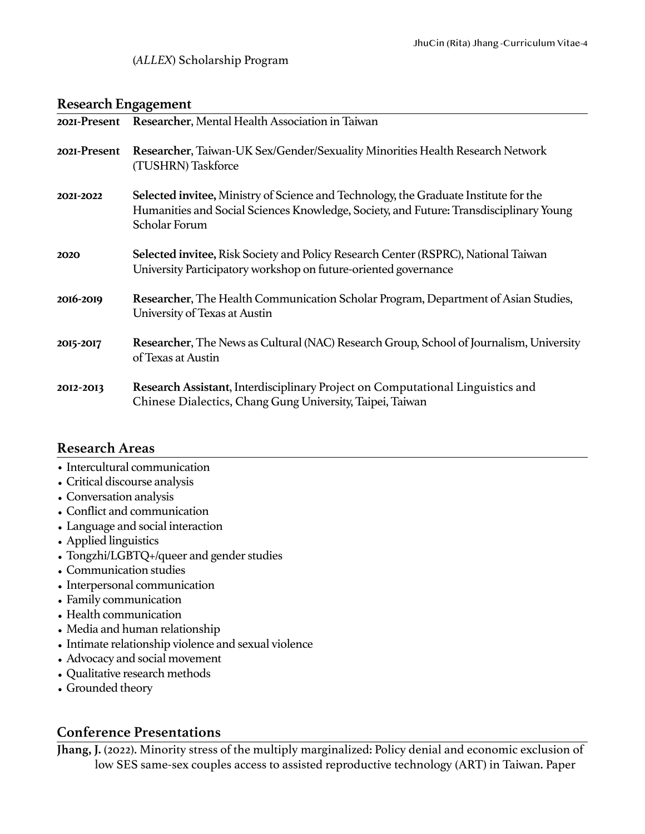### (*ALLEX*) Scholarship Program

### **Research Engagement**

|              | 2021-Present Researcher, Mental Health Association in Taiwan                                                                                                                                    |
|--------------|-------------------------------------------------------------------------------------------------------------------------------------------------------------------------------------------------|
| 2021-Present | Researcher, Taiwan-UK Sex/Gender/Sexuality Minorities Health Research Network<br>(TUSHRN) Taskforce                                                                                             |
| 2021-2022    | Selected invitee, Ministry of Science and Technology, the Graduate Institute for the<br>Humanities and Social Sciences Knowledge, Society, and Future: Transdisciplinary Young<br>Scholar Forum |
| 2020         | Selected invitee, Risk Society and Policy Research Center (RSPRC), National Taiwan<br>University Participatory workshop on future-oriented governance                                           |
| 2016-2019    | Researcher, The Health Communication Scholar Program, Department of Asian Studies,<br>University of Texas at Austin                                                                             |
| 2015-2017    | Researcher, The News as Cultural (NAC) Research Group, School of Journalism, University<br>of Texas at Austin                                                                                   |
| 2012-2013    | Research Assistant, Interdisciplinary Project on Computational Linguistics and<br>Chinese Dialectics, Chang Gung University, Taipei, Taiwan                                                     |

### **Research Areas**

- Intercultural communication
- Critical discourse analysis
- Conversation analysis
- Conflict and communication
- Language and social interaction
- Applied linguistics
- Tongzhi/LGBTQ+/queer and gender studies
- Communication studies
- Interpersonal communication
- Family communication
- Health communication
- Media and human relationship
- Intimate relationship violence and sexual violence
- Advocacy and social movement
- Qualitative research methods
- Grounded theory

### **Conference Presentations**

**Jhang, J.** (2022). Minority stress of the multiply marginalized: Policy denial and economic exclusion of low SES same-sex couples access to assisted reproductive technology (ART) in Taiwan. Paper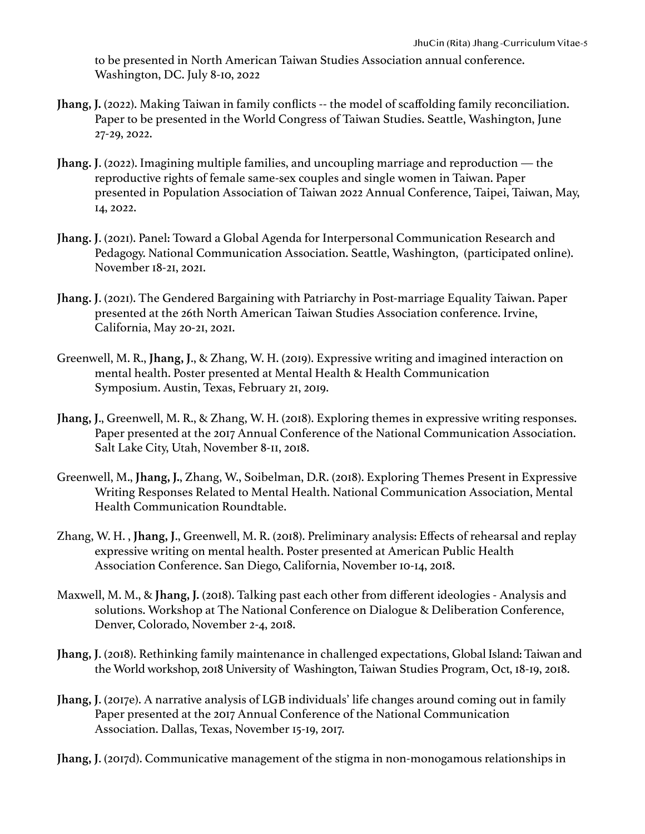to be presented in North American Taiwan Studies Association annual conference. Washington, DC. July 8-10, 2022

- **Jhang, J.** (2022). Making Taiwan in family conflicts -- the model of scaffolding family reconciliation. Paper to be presented in the World Congress of Taiwan Studies. Seattle, Washington, June 27-29, 2022.
- **Jhang. J**. (2022). Imagining multiple families, and uncoupling marriage and reproduction the reproductive rights of female same-sex couples and single women in Taiwan. Paper presented in Population Association of Taiwan 2022 Annual Conference, Taipei, Taiwan, May, 14, 2022.
- **Jhang. J**. (2021). Panel: Toward a Global Agenda for Interpersonal Communication Research and Pedagogy. National Communication Association. Seattle, Washington, (participated online). November 18-21, 2021.
- **Jhang. J**. (2021). The Gendered Bargaining with Patriarchy in Post-marriage Equality Taiwan. Paper presented at the 26th North American Taiwan Studies Association conference. Irvine, California, May 20-21, 2021.
- Greenwell, M. R., **Jhang, J**., & Zhang, W. H. (2019). Expressive writing and imagined interaction on mental health. Poster presented at Mental Health & Health Communication Symposium. Austin, Texas, February 21, 2019.
- **Jhang, J**., Greenwell, M. R., & Zhang, W. H. (2018). Exploring themes in expressive writing responses. Paper presented at the 2017 Annual Conference of the National Communication Association. Salt Lake City, Utah, November 8-11, 2018.
- Greenwell, M., **Jhang, J.**, Zhang, W., Soibelman, D.R. (2018). Exploring Themes Present in Expressive Writing Responses Related to Mental Health. National Communication Association, Mental Health Communication Roundtable.
- Zhang, W. H. , **Jhang, J**., Greenwell, M. R. (2018). Preliminary analysis: Effects of rehearsal and replay expressive writing on mental health. Poster presented at American Public Health Association Conference. San Diego, California, November 10-14, 2018.
- Maxwell, M. M., & **Jhang, J.** (2018). Talking past each other from different ideologies Analysis and solutions. Workshop at The National Conference on Dialogue & Deliberation Conference, Denver, Colorado, November 2-4, 2018.
- **Jhang, J**. (2018). Rethinking family maintenance in challenged expectations, Global Island: Taiwan and the World workshop, 2018 University of Washington, Taiwan Studies Program, Oct, 18-19, 2018.
- **Jhang, J**. (2017e). A narrative analysis of LGB individuals' life changes around coming out in family Paper presented at the 2017 Annual Conference of the National Communication Association. Dallas, Texas, November 15-19, 2017.

**Jhang, J**. (2017d). Communicative management of the stigma in non-monogamous relationships in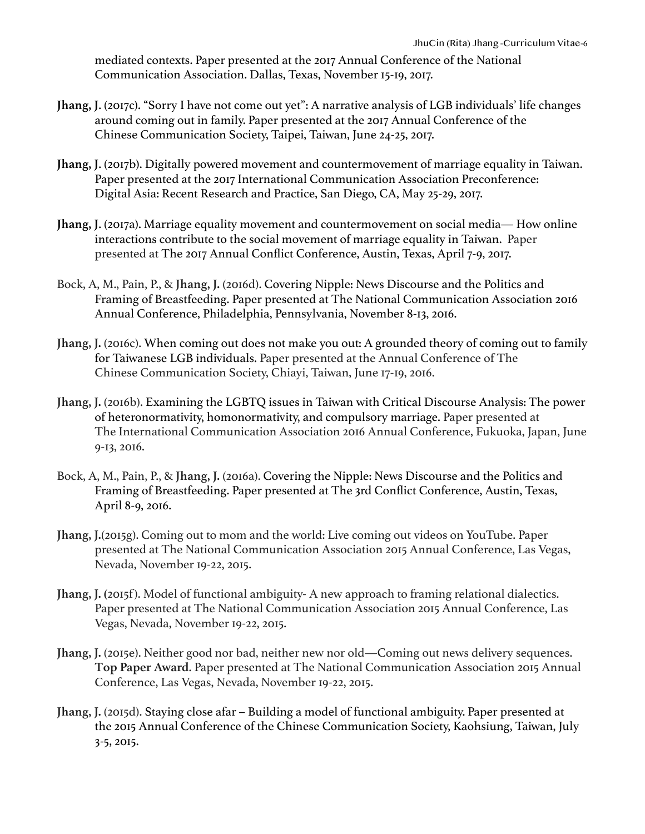mediated contexts. Paper presented at the 2017 Annual Conference of the National Communication Association. Dallas, Texas, November 15-19, 2017.

- **Jhang, J**. (2017c). "Sorry I have not come out yet": A narrative analysis of LGB individuals' life changes around coming out in family. Paper presented at the 2017 Annual Conference of the Chinese Communication Society, Taipei, Taiwan, June 24-25, 2017.
- **Jhang, J**. (2017b). Digitally powered movement and countermovement of marriage equality in Taiwan. Paper presented at the 2017 International Communication Association Preconference: Digital Asia: Recent Research and Practice, San Diego, CA, May 25-29, 2017.
- **Jhang, J**. (2017a). Marriage equality movement and countermovement on social media— How online interactions contribute to the social movement of marriage equality in Taiwan. Paper presented at The 2017 Annual Conflict Conference, Austin, Texas, April 7-9, 2017.
- Bock, A, M., Pain, P., & **Jhang, J.** (2016d). Covering Nipple: News Discourse and the Politics and Framing of Breastfeeding. Paper presented at The National Communication Association 2016 Annual Conference, Philadelphia, Pennsylvania, November 8-13, 2016.
- **Jhang, J.** (2016c). When coming out does not make you out: A grounded theory of coming out to family for Taiwanese LGB individuals. Paper presented at the Annual Conference of The Chinese Communication Society, Chiayi, Taiwan, June 17-19, 2016.
- **Jhang, J.** (2016b). Examining the LGBTQ issues in Taiwan with Critical Discourse Analysis: The power of heteronormativity, homonormativity, and compulsory marriage. Paper presented at The International Communication Association 2016 Annual Conference, Fukuoka, Japan, June 9-13, 2016.
- Bock, A, M., Pain, P., & **Jhang, J.** (2016a). Covering the Nipple: News Discourse and the Politics and Framing of Breastfeeding. Paper presented at The 3rd Conflict Conference, Austin, Texas, April 8-9, 2016.
- **Jhang, J.**(2015g). Coming out to mom and the world: Live coming out videos on YouTube. Paper presented at The National Communication Association 2015 Annual Conference, Las Vegas, Nevada, November 19-22, 2015.
- **Jhang, J.** (2015f). Model of functional ambiguity- A new approach to framing relational dialectics. Paper presented at The National Communication Association 2015 Annual Conference, Las Vegas, Nevada, November 19-22, 2015.
- Jhang, J. (2015e). Neither good nor bad, neither new nor old—Coming out news delivery sequences. **Top Paper Award**. Paper presented at The National Communication Association 2015 Annual Conference, Las Vegas, Nevada, November 19-22, 2015.
- **Jhang, J.** (2015d). Staying close afar Building a model of functional ambiguity. Paper presented at the 2015 Annual Conference of the Chinese Communication Society, Kaohsiung, Taiwan, July 3-5, 2015.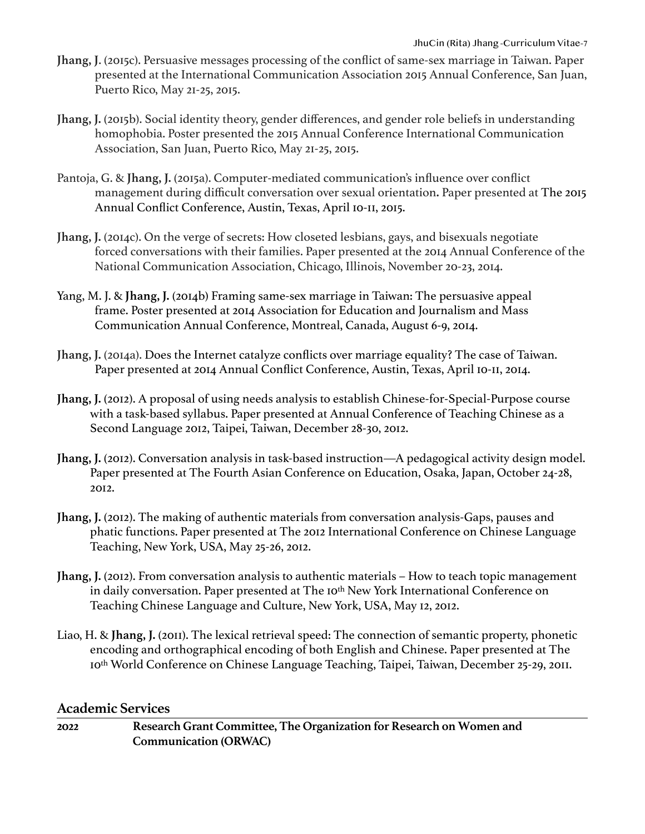- **Jhang, J**. (2015c). Persuasive messages processing of the conflict of same-sex marriage in Taiwan. Paper presented at the International Communication Association 2015 Annual Conference, San Juan, Puerto Rico, May 21-25, 2015.
- **Jhang, J.** (2015b). Social identity theory, gender differences, and gender role beliefs in understanding homophobia. Poster presented the 2015 Annual Conference International Communication Association, San Juan, Puerto Rico, May 21-25, 2015.
- Pantoja, G. & **Jhang, J.** (2015a). Computer-mediated communication's influence over conflict management during difficult conversation over sexual orientation**.** Paper presented at The 2015 Annual Conflict Conference, Austin, Texas, April 10-11, 2015.
- **Jhang, J.** (2014c). On the verge of secrets: How closeted lesbians, gays, and bisexuals negotiate forced conversations with their families. Paper presented at the 2014 Annual Conference of the National Communication Association, Chicago, Illinois, November 20-23, 2014.
- Yang, M. J. & **Jhang, J.** (2014b) Framing same-sex marriage in Taiwan: The persuasive appeal frame. Poster presented at 2014 Association for Education and Journalism and Mass Communication Annual Conference, Montreal, Canada, August 6-9, 2014.
- **Jhang, J.** (2014a). Does the Internet catalyze conflicts over marriage equality? The case of Taiwan. Paper presented at 2014 Annual Conflict Conference, Austin, Texas, April 10-11, 2014.
- **Jhang, J.** (2012). A proposal of using needs analysis to establish Chinese-for-Special-Purpose course with a task-based syllabus. Paper presented at Annual Conference of Teaching Chinese as a Second Language 2012, Taipei, Taiwan, December 28-30, 2012.
- **Jhang, J.** (2012). Conversation analysis in task-based instruction—A pedagogical activity design model. Paper presented at The Fourth Asian Conference on Education, Osaka, Japan, October 24-28, 2012.
- **Jhang, J.** (2012). The making of authentic materials from conversation analysis-Gaps, pauses and phatic functions. Paper presented at The 2012 International Conference on Chinese Language Teaching, New York, USA, May 25-26, 2012.
- **Jhang, J.** (2012). From conversation analysis to authentic materials How to teach topic management in daily conversation. Paper presented at The 10<sup>th</sup> New York International Conference on Teaching Chinese Language and Culture, New York, USA, May 12, 2012.
- Liao, H. & **Jhang, J.** (2011). The lexical retrieval speed: The connection of semantic property, phonetic encoding and orthographical encoding of both English and Chinese. Paper presented at The 10th World Conference on Chinese Language Teaching, Taipei, Taiwan, December 25-29, 2011.

### **Academic Services**

**2022 Research Grant Committee, The Organization for Research on Women and Communication (ORWAC)**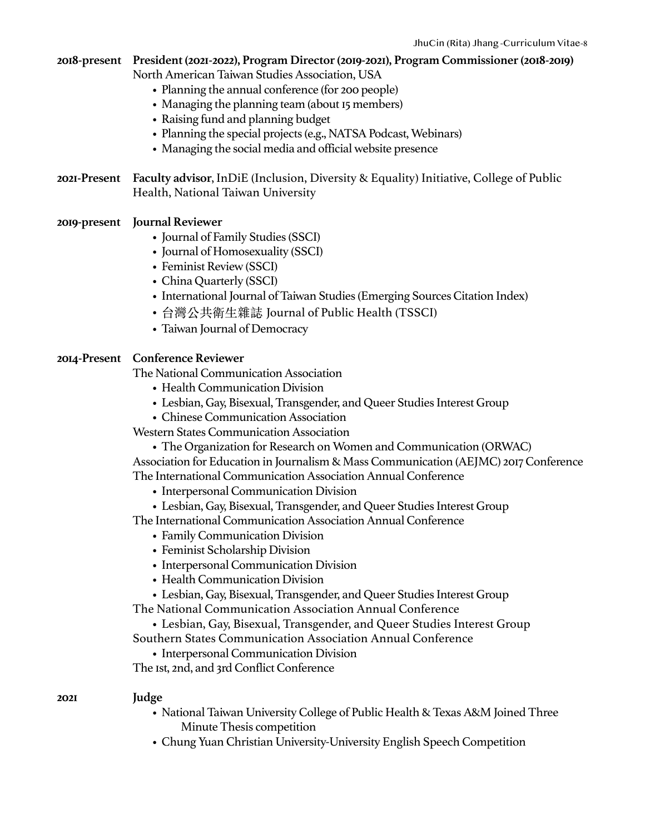# **2018-present President (2021-2022), Program Director (2019-2021), Program Commissioner (2018-2019)**

North American Taiwan Studies Association, USA

- Planning the annual conference (for 200 people)
- Managing the planning team (about 15 members)
- Raising fund and planning budget
- Planning the special projects (e.g., NATSA Podcast, Webinars)
- Managing the social media and official website presence
- **2021-Present Faculty advisor**, InDiE (Inclusion, Diversity & Equality) Initiative, College of Public Health, National Taiwan University
- **2019-present Journal Reviewer**
	- Journal of Family Studies (SSCI)
	- Journal of Homosexuality (SSCI)
	- Feminist Review (SSCI)
	- China Quarterly (SSCI)
	- International Journal of Taiwan Studies (Emerging Sources Citation Index)
	- 台灣公共衛⽣雜誌 Journal of Public Health (TSSCI)
	- Taiwan Journal of Democracy

#### **2014-Present Conference Reviewer**

The National Communication Association

- Health Communication Division
- Lesbian, Gay, Bisexual, Transgender, and Queer Studies Interest Group
- Chinese Communication Association

Western States Communication Association

• The Organization for Research on Women and Communication (ORWAC)

Association for Education in Journalism & Mass Communication (AEJMC) 2017 Conference The International Communication Association Annual Conference

- Interpersonal Communication Division
- Lesbian, Gay, Bisexual, Transgender, and Queer Studies Interest Group

The International Communication Association Annual Conference

- Family Communication Division
- Feminist Scholarship Division
- Interpersonal Communication Division
- Health Communication Division
- Lesbian, Gay, Bisexual, Transgender, and Queer Studies Interest Group

The National Communication Association Annual Conference

• Lesbian, Gay, Bisexual, Transgender, and Queer Studies Interest Group

Southern States Communication Association Annual Conference

• Interpersonal Communication Division

The 1st, 2nd, and 3rd Conflict Conference

#### **2021 Judge**

- National Taiwan University College of Public Health & Texas A&M Joined Three Minute Thesis competition
- Chung Yuan Christian University-University English Speech Competition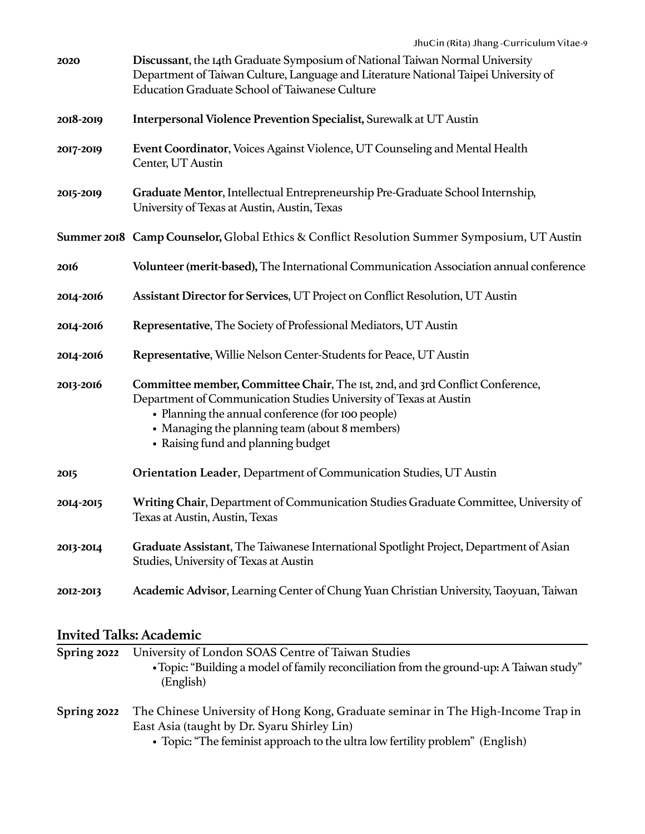| 2020        | Discussant, the 14th Graduate Symposium of National Taiwan Normal University<br>Department of Taiwan Culture, Language and Literature National Taipei University of<br>Education Graduate School of Taiwanese Culture                                                                           |
|-------------|-------------------------------------------------------------------------------------------------------------------------------------------------------------------------------------------------------------------------------------------------------------------------------------------------|
| 2018-2019   | Interpersonal Violence Prevention Specialist, Surewalk at UT Austin                                                                                                                                                                                                                             |
| 2017-2019   | Event Coordinator, Voices Against Violence, UT Counseling and Mental Health<br>Center, UT Austin                                                                                                                                                                                                |
| 2015-2019   | Graduate Mentor, Intellectual Entrepreneurship Pre-Graduate School Internship,<br>University of Texas at Austin, Austin, Texas                                                                                                                                                                  |
|             | Summer 2018 Camp Counselor, Global Ethics & Conflict Resolution Summer Symposium, UT Austin                                                                                                                                                                                                     |
| 2016        | Volunteer (merit-based), The International Communication Association annual conference                                                                                                                                                                                                          |
| 2014-2016   | Assistant Director for Services, UT Project on Conflict Resolution, UT Austin                                                                                                                                                                                                                   |
| 2014-2016   | Representative, The Society of Professional Mediators, UT Austin                                                                                                                                                                                                                                |
| 2014-2016   | Representative, Willie Nelson Center-Students for Peace, UT Austin                                                                                                                                                                                                                              |
| 2013-2016   | Committee member, Committee Chair, The Ist, 2nd, and 3rd Conflict Conference,<br>Department of Communication Studies University of Texas at Austin<br>• Planning the annual conference (for 100 people)<br>• Managing the planning team (about 8 members)<br>• Raising fund and planning budget |
| <b>2015</b> | Orientation Leader, Department of Communication Studies, UT Austin                                                                                                                                                                                                                              |
| 2014-2015   | Writing Chair, Department of Communication Studies Graduate Committee, University of<br>Texas at Austin, Austin, Texas                                                                                                                                                                          |
| 2013-2014   | Graduate Assistant, The Taiwanese International Spotlight Project, Department of Asian<br>Studies, University of Texas at Austin                                                                                                                                                                |
| 2012-2013   | Academic Advisor, Learning Center of Chung Yuan Christian University, Taoyuan, Taiwan                                                                                                                                                                                                           |

# **Invited Talks: Academic**

| Spring 2022 | University of London SOAS Centre of Taiwan Studies                                      |
|-------------|-----------------------------------------------------------------------------------------|
|             | • Topic: "Building a model of family reconciliation from the ground-up: A Taiwan study" |
|             | (English)                                                                               |
| Spring 2022 | The Chinese University of Hong Kong, Graduate seminar in The High-Income Trap in        |
|             | East Asia (taught by Dr. Syaru Shirley Lin)                                             |
|             | • Topic: "The feminist approach to the ultra low fertility problem" (English)           |

lopic: "The feminist approach to the ultra low fertility problem" (English)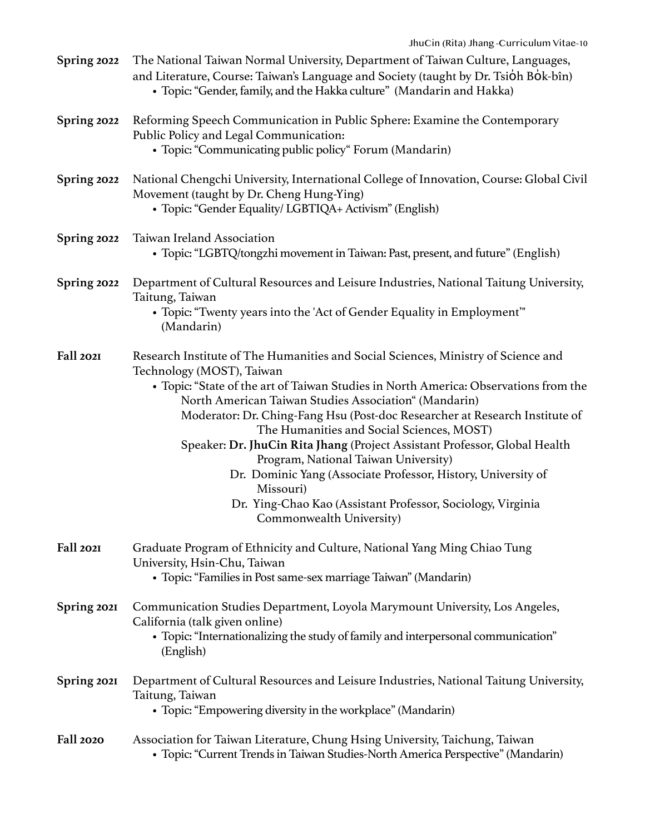| Spring 2022      | The National Taiwan Normal University, Department of Taiwan Culture, Languages,<br>and Literature, Course: Taiwan's Language and Society (taught by Dr. Tsioh Bok-bîn)<br>• Topic: "Gender, family, and the Hakka culture" (Mandarin and Hakka)                                                                                                                                                                                                                                                                                                                                                                                                                                            |
|------------------|--------------------------------------------------------------------------------------------------------------------------------------------------------------------------------------------------------------------------------------------------------------------------------------------------------------------------------------------------------------------------------------------------------------------------------------------------------------------------------------------------------------------------------------------------------------------------------------------------------------------------------------------------------------------------------------------|
| Spring 2022      | Reforming Speech Communication in Public Sphere: Examine the Contemporary<br>Public Policy and Legal Communication:<br>• Topic: "Communicating public policy" Forum (Mandarin)                                                                                                                                                                                                                                                                                                                                                                                                                                                                                                             |
| Spring 2022      | National Chengchi University, International College of Innovation, Course: Global Civil<br>Movement (taught by Dr. Cheng Hung-Ying)<br>• Topic: "Gender Equality/ LGBTIQA+ Activism" (English)                                                                                                                                                                                                                                                                                                                                                                                                                                                                                             |
| Spring 2022      | Taiwan Ireland Association<br>• Topic: "LGBTQ/tongzhi movement in Taiwan: Past, present, and future" (English)                                                                                                                                                                                                                                                                                                                                                                                                                                                                                                                                                                             |
| Spring 2022      | Department of Cultural Resources and Leisure Industries, National Taitung University,<br>Taitung, Taiwan<br>• Topic: "Twenty years into the 'Act of Gender Equality in Employment"                                                                                                                                                                                                                                                                                                                                                                                                                                                                                                         |
|                  | (Mandarin)                                                                                                                                                                                                                                                                                                                                                                                                                                                                                                                                                                                                                                                                                 |
| Fall 2021        | Research Institute of The Humanities and Social Sciences, Ministry of Science and<br>Technology (MOST), Taiwan<br>• Topic: "State of the art of Taiwan Studies in North America: Observations from the<br>North American Taiwan Studies Association" (Mandarin)<br>Moderator: Dr. Ching-Fang Hsu (Post-doc Researcher at Research Institute of<br>The Humanities and Social Sciences, MOST)<br>Speaker: Dr. JhuCin Rita Jhang (Project Assistant Professor, Global Health<br>Program, National Taiwan University)<br>Dr. Dominic Yang (Associate Professor, History, University of<br>Missouri)<br>Dr. Ying-Chao Kao (Assistant Professor, Sociology, Virginia<br>Commonwealth University) |
| Fall 2021        | Graduate Program of Ethnicity and Culture, National Yang Ming Chiao Tung<br>University, Hsin-Chu, Taiwan<br>• Topic: "Families in Post same-sex marriage Taiwan" (Mandarin)                                                                                                                                                                                                                                                                                                                                                                                                                                                                                                                |
| Spring 2021      | Communication Studies Department, Loyola Marymount University, Los Angeles,<br>California (talk given online)<br>• Topic: "Internationalizing the study of family and interpersonal communication"<br>(English)                                                                                                                                                                                                                                                                                                                                                                                                                                                                            |
| Spring 2021      | Department of Cultural Resources and Leisure Industries, National Taitung University,<br>Taitung, Taiwan<br>• Topic: "Empowering diversity in the workplace" (Mandarin)                                                                                                                                                                                                                                                                                                                                                                                                                                                                                                                    |
| <b>Fall 2020</b> | Association for Taiwan Literature, Chung Hsing University, Taichung, Taiwan<br>• Topic: "Current Trends in Taiwan Studies-North America Perspective" (Mandarin)                                                                                                                                                                                                                                                                                                                                                                                                                                                                                                                            |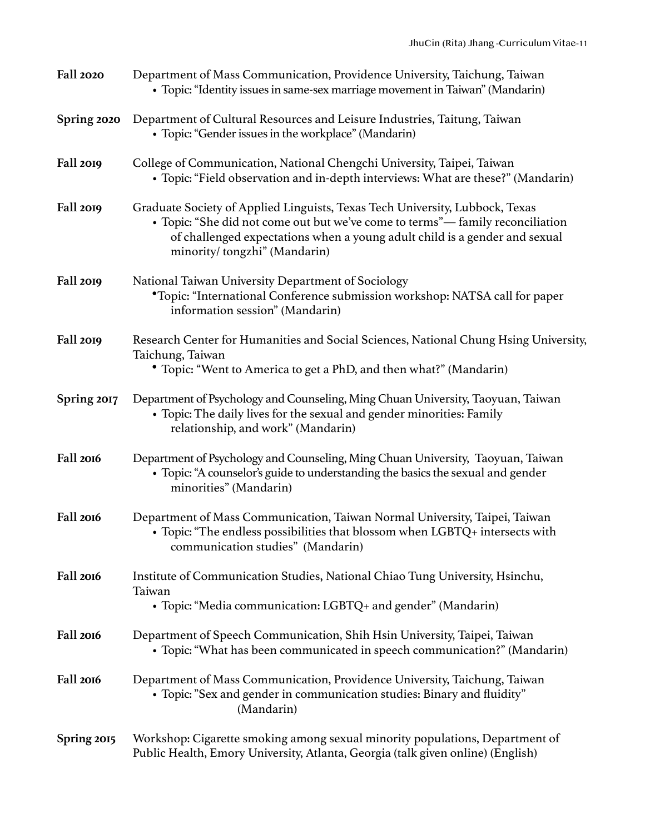| <b>Fall 2020</b> | Department of Mass Communication, Providence University, Taichung, Taiwan<br>• Topic: "Identity issues in same-sex marriage movement in Taiwan" (Mandarin)                                                                                                                   |
|------------------|------------------------------------------------------------------------------------------------------------------------------------------------------------------------------------------------------------------------------------------------------------------------------|
| Spring 2020      | Department of Cultural Resources and Leisure Industries, Taitung, Taiwan<br>• Topic: "Gender issues in the workplace" (Mandarin)                                                                                                                                             |
| Fall 2019        | College of Communication, National Chengchi University, Taipei, Taiwan<br>• Topic: "Field observation and in-depth interviews: What are these?" (Mandarin)                                                                                                                   |
| Fall 2019        | Graduate Society of Applied Linguists, Texas Tech University, Lubbock, Texas<br>• Topic: "She did not come out but we've come to terms"— family reconciliation<br>of challenged expectations when a young adult child is a gender and sexual<br>minority/tongzhi" (Mandarin) |
| Fall 2019        | National Taiwan University Department of Sociology<br><i>*Topic: "International Conference submission workshop: NATSA call for paper</i><br>information session" (Mandarin)                                                                                                  |
| Fall 2019        | Research Center for Humanities and Social Sciences, National Chung Hsing University,<br>Taichung, Taiwan<br>• Topic: "Went to America to get a PhD, and then what?" (Mandarin)                                                                                               |
| Spring 2017      | Department of Psychology and Counseling, Ming Chuan University, Taoyuan, Taiwan<br>• Topic: The daily lives for the sexual and gender minorities: Family<br>relationship, and work" (Mandarin)                                                                               |
| Fall 2016        | Department of Psychology and Counseling, Ming Chuan University, Taoyuan, Taiwan<br>• Topic: "A counselor's guide to understanding the basics the sexual and gender<br>minorities" (Mandarin)                                                                                 |
| Fall 2016        | Department of Mass Communication, Taiwan Normal University, Taipei, Taiwan<br>• Topic: "The endless possibilities that blossom when LGBTQ+ intersects with<br>communication studies" (Mandarin)                                                                              |
| Fall 2016        | Institute of Communication Studies, National Chiao Tung University, Hsinchu,<br>Taiwan<br>• Topic: "Media communication: LGBTQ+ and gender" (Mandarin)                                                                                                                       |
| Fall 2016        | Department of Speech Communication, Shih Hsin University, Taipei, Taiwan<br>• Topic: "What has been communicated in speech communication?" (Mandarin)                                                                                                                        |
| Fall 2016        | Department of Mass Communication, Providence University, Taichung, Taiwan<br>• Topic: "Sex and gender in communication studies: Binary and fluidity"<br>(Mandarin)                                                                                                           |
| Spring 2015      | Workshop: Cigarette smoking among sexual minority populations, Department of<br>Public Health, Emory University, Atlanta, Georgia (talk given online) (English)                                                                                                              |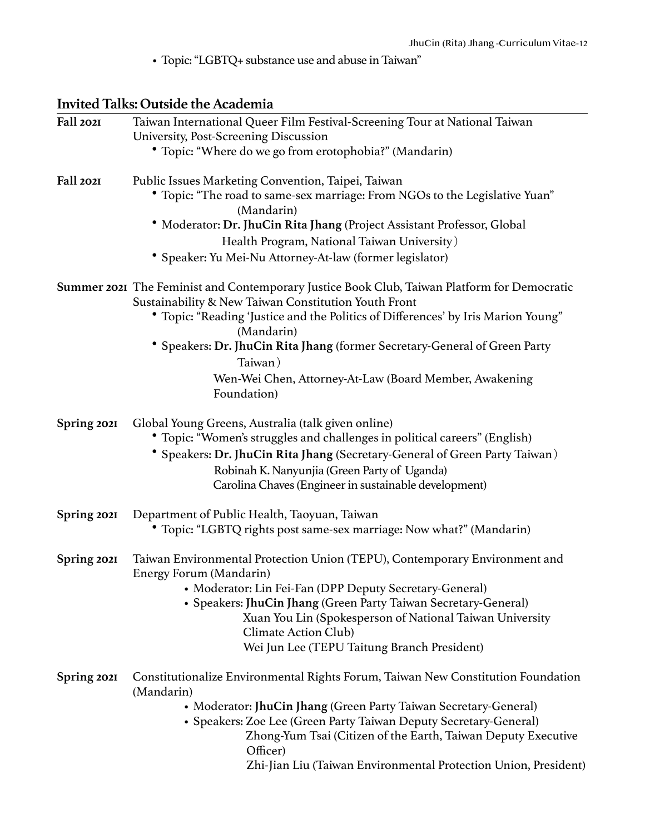• Topic: "LGBTQ+ substance use and abuse in Taiwan"

# **Invited Talks: Outside the Academia**

| Fall 2021   | Taiwan International Queer Film Festival-Screening Tour at National Taiwan                      |
|-------------|-------------------------------------------------------------------------------------------------|
|             | University, Post-Screening Discussion                                                           |
|             | • Topic: "Where do we go from erotophobia?" (Mandarin)                                          |
| Fall 2021   | Public Issues Marketing Convention, Taipei, Taiwan                                              |
|             | • Topic: "The road to same-sex marriage: From NGOs to the Legislative Yuan"                     |
|             | (Mandarin)                                                                                      |
|             | * Moderator: Dr. JhuCin Rita Jhang (Project Assistant Professor, Global                         |
|             | Health Program, National Taiwan University)                                                     |
|             | * Speaker: Yu Mei-Nu Attorney-At-law (former legislator)                                        |
|             | Summer 2021 The Feminist and Contemporary Justice Book Club, Taiwan Platform for Democratic     |
|             | Sustainability & New Taiwan Constitution Youth Front                                            |
|             | * Topic: "Reading 'Justice and the Politics of Differences' by Iris Marion Young"<br>(Mandarin) |
|             | * Speakers: Dr. JhuCin Rita Jhang (former Secretary-General of Green Party                      |
|             | Taiwan)                                                                                         |
|             | Wen-Wei Chen, Attorney-At-Law (Board Member, Awakening                                          |
|             | Foundation)                                                                                     |
| Spring 2021 | Global Young Greens, Australia (talk given online)                                              |
|             | • Topic: "Women's struggles and challenges in political careers" (English)                      |
|             | * Speakers: Dr. JhuCin Rita Jhang (Secretary-General of Green Party Taiwan)                     |
|             | Robinah K. Nanyunjia (Green Party of Uganda)                                                    |
|             | Carolina Chaves (Engineer in sustainable development)                                           |
| Spring 2021 | Department of Public Health, Taoyuan, Taiwan                                                    |
|             | Topic: "LGBTQ rights post same-sex marriage: Now what?" (Mandarin)                              |
| Spring 2021 | Taiwan Environmental Protection Union (TEPU), Contemporary Environment and                      |
|             | Energy Forum (Mandarin)                                                                         |
|             | • Moderator: Lin Fei-Fan (DPP Deputy Secretary-General)                                         |
|             | • Speakers: JhuCin Jhang (Green Party Taiwan Secretary-General)                                 |
|             | Xuan You Lin (Spokesperson of National Taiwan University                                        |
|             | Climate Action Club)                                                                            |
|             | Wei Jun Lee (TEPU Taitung Branch President)                                                     |
| Spring 2021 | Constitutionalize Environmental Rights Forum, Taiwan New Constitution Foundation<br>(Mandarin)  |
|             | • Moderator: JhuCin Jhang (Green Party Taiwan Secretary-General)                                |
|             | • Speakers: Zoe Lee (Green Party Taiwan Deputy Secretary-General)                               |
|             | Zhong-Yum Tsai (Citizen of the Earth, Taiwan Deputy Executive<br>Officer)                       |
|             | Zhi-Jian Liu (Taiwan Environmental Protection Union, President)                                 |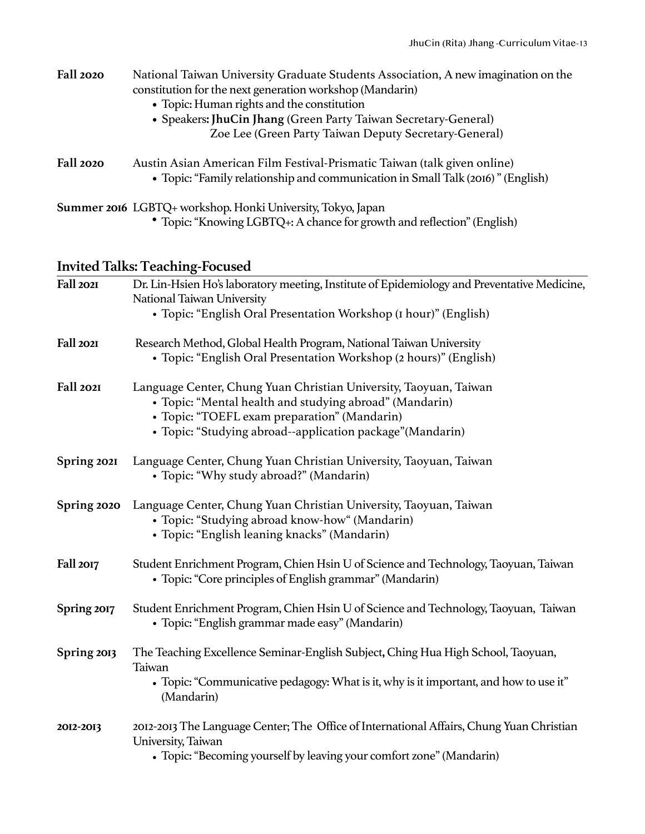| <b>Fall 2020</b> | National Taiwan University Graduate Students Association, A new imagination on the<br>constitution for the next generation workshop (Mandarin)<br>• Topic: Human rights and the constitution<br>• Speakers: JhuCin Jhang (Green Party Taiwan Secretary-General)<br>Zoe Lee (Green Party Taiwan Deputy Secretary-General) |
|------------------|--------------------------------------------------------------------------------------------------------------------------------------------------------------------------------------------------------------------------------------------------------------------------------------------------------------------------|
| <b>Fall 2020</b> | Austin Asian American Film Festival-Prismatic Taiwan (talk given online)<br>• Topic: "Family relationship and communication in Small Talk (2016)" (English)                                                                                                                                                              |
|                  | Summer 2016 LGBTQ+ workshop. Honki University, Tokyo, Japan<br>• Topic: "Knowing LGBTQ+: A chance for growth and reflection" (English)                                                                                                                                                                                   |

# **Invited Talks: Teaching-Focused**

| Fall 2021   | Dr. Lin-Hsien Ho's laboratory meeting, Institute of Epidemiology and Preventative Medicine,<br>National Taiwan University<br>• Topic: "English Oral Presentation Workshop (I hour)" (English)                                              |
|-------------|--------------------------------------------------------------------------------------------------------------------------------------------------------------------------------------------------------------------------------------------|
| Fall 2021   | Research Method, Global Health Program, National Taiwan University<br>• Topic: "English Oral Presentation Workshop (2 hours)" (English)                                                                                                    |
| Fall 2021   | Language Center, Chung Yuan Christian University, Taoyuan, Taiwan<br>• Topic: "Mental health and studying abroad" (Mandarin)<br>• Topic: "TOEFL exam preparation" (Mandarin)<br>• Topic: "Studying abroad--application package" (Mandarin) |
| Spring 2021 | Language Center, Chung Yuan Christian University, Taoyuan, Taiwan<br>• Topic: "Why study abroad?" (Mandarin)                                                                                                                               |
| Spring 2020 | Language Center, Chung Yuan Christian University, Taoyuan, Taiwan<br>• Topic: "Studying abroad know-how" (Mandarin)<br>• Topic: "English leaning knacks" (Mandarin)                                                                        |
| Fall 2017   | Student Enrichment Program, Chien Hsin U of Science and Technology, Taoyuan, Taiwan<br>• Topic: "Core principles of English grammar" (Mandarin)                                                                                            |
| Spring 2017 | Student Enrichment Program, Chien Hsin U of Science and Technology, Taoyuan, Taiwan<br>• Topic: "English grammar made easy" (Mandarin)                                                                                                     |
| Spring 2013 | The Teaching Excellence Seminar-English Subject, Ching Hua High School, Taoyuan,<br>Taiwan<br>• Topic: "Communicative pedagogy: What is it, why is it important, and how to use it"<br>(Mandarin)                                          |
| 2012-2013   | 2012-2013 The Language Center; The Office of International Affairs, Chung Yuan Christian<br>University, Taiwan<br>• Topic: "Becoming yourself by leaving your comfort zone" (Mandarin)                                                     |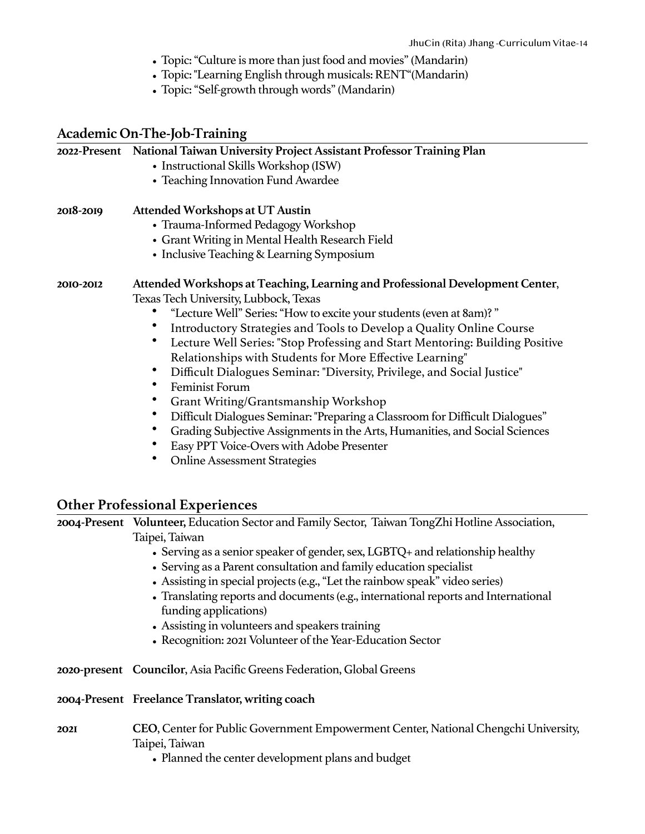- Topic: "Culture is more than just food and movies" (Mandarin)
- Topic: "Learning English through musicals: RENT"(Mandarin)
- Topic: "Self-growth through words" (Mandarin)

### **Academic On-The-Job-Training**

|             | 2022-Present National Taiwan University Project Assistant Professor Training Plan                     |
|-------------|-------------------------------------------------------------------------------------------------------|
|             | • Instructional Skills Workshop (ISW)                                                                 |
|             | • Teaching Innovation Fund Awardee                                                                    |
| 2018-2019   | Attended Workshops at UT Austin                                                                       |
|             | • Trauma-Informed Pedagogy Workshop                                                                   |
|             | • Grant Writing in Mental Health Research Field                                                       |
|             | • Inclusive Teaching & Learning Symposium                                                             |
| 2010-2012   | Attended Workshops at Teaching, Learning and Professional Development Center,                         |
|             | Texas Tech University, Lubbock, Texas                                                                 |
|             | "Lecture Well" Series: "How to excite your students (even at 8am)?"                                   |
|             | Introductory Strategies and Tools to Develop a Quality Online Course                                  |
|             | Lecture Well Series: "Stop Professing and Start Mentoring: Building Positive                          |
|             | Relationships with Students for More Effective Learning"                                              |
|             | Difficult Dialogues Seminar: "Diversity, Privilege, and Social Justice"                               |
|             | Feminist Forum<br>$\bullet$                                                                           |
|             | $\bullet$<br>Grant Writing/Grantsmanship Workshop                                                     |
|             | Difficult Dialogues Seminar: "Preparing a Classroom for Difficult Dialogues"                          |
|             | Grading Subjective Assignments in the Arts, Humanities, and Social Sciences                           |
|             | Easy PPT Voice-Overs with Adobe Presenter<br>$\bullet$                                                |
|             | ٠<br><b>Online Assessment Strategies</b>                                                              |
|             |                                                                                                       |
|             |                                                                                                       |
|             | <b>Other Professional Experiences</b>                                                                 |
|             | 2004-Present Volunteer, Education Sector and Family Sector, Taiwan TongZhi Hotline Association,       |
|             | Taipei, Taiwan                                                                                        |
|             | • Serving as a senior speaker of gender, sex, LGBTQ+ and relationship healthy                         |
|             | • Serving as a Parent consultation and family education specialist                                    |
|             | • Assisting in special projects (e.g., "Let the rainbow speak" video series)                          |
|             | • Translating reports and documents (e.g., international reports and International                    |
|             | funding applications)                                                                                 |
|             | • Assisting in volunteers and speakers training                                                       |
|             | • Recognition: 2021 Volunteer of the Year-Education Sector                                            |
|             | 2020-present Councilor, Asia Pacific Greens Federation, Global Greens                                 |
|             | 2004-Present Freelance Translator, writing coach                                                      |
| <b>2021</b> | CEO, Center for Public Government Empowerment Center, National Chengchi University,<br>Taipei, Taiwan |

• Planned the center development plans and budget